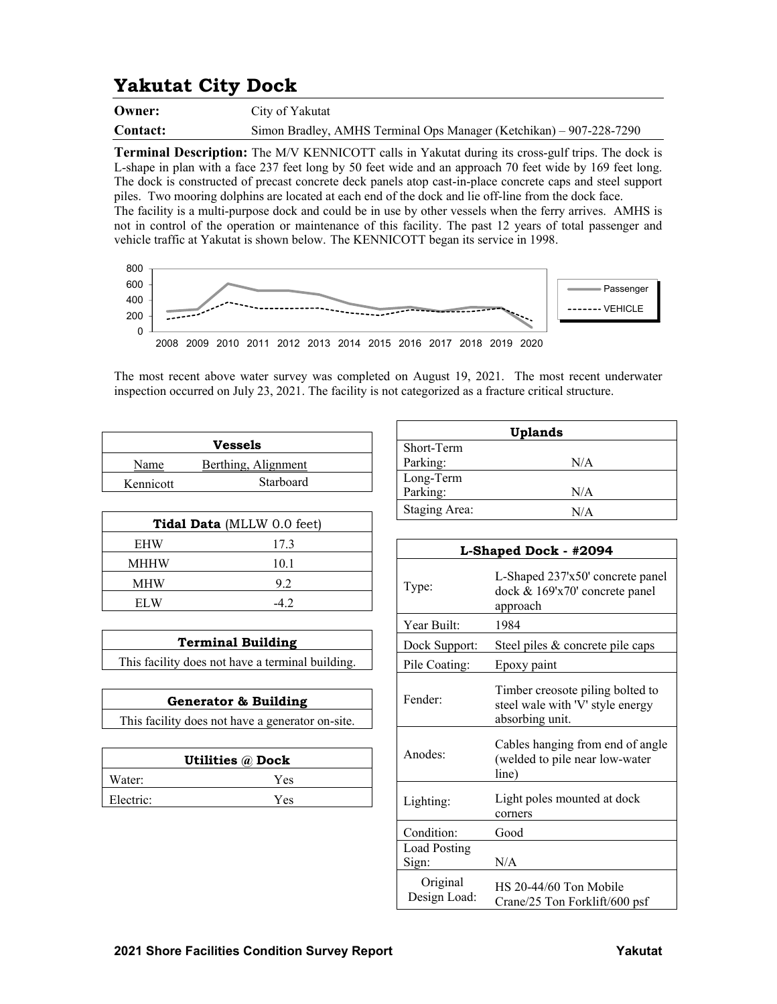## **Yakutat City Dock**

**Owner:** City of Yakutat

**Contact:** Simon Bradley, AMHS Terminal Ops Manager (Ketchikan) – 907-228-7290

**Terminal Description:** The M/V KENNICOTT calls in Yakutat during its cross-gulf trips. The dock is L-shape in plan with a face 237 feet long by 50 feet wide and an approach 70 feet wide by 169 feet long. The dock is constructed of precast concrete deck panels atop cast-in-place concrete caps and steel support piles. Two mooring dolphins are located at each end of the dock and lie off-line from the dock face. The facility is a multi-purpose dock and could be in use by other vessels when the ferry arrives. AMHS is not in control of the operation or maintenance of this facility. The past 12 years of total passenger and vehicle traffic at Yakutat is shown below. The KENNICOTT began its service in 1998.



The most recent above water survey was completed on August 19, 2021. The most recent underwater inspection occurred on July 23, 2021. The facility is not categorized as a fracture critical structure.

|           | Vessels             |
|-----------|---------------------|
| Name      | Berthing, Alignment |
| Kennicott | Starboard           |

| Tidal Data (MLLW 0.0 feet) |      |  |
|----------------------------|------|--|
| <b>EHW</b>                 | 17.3 |  |
| MHHW                       | 10.1 |  |
| MHW                        | 9.2  |  |
| EL W                       |      |  |

| <b>Terminal Building</b> |
|--------------------------|
|                          |

This facility does not have a terminal building.

| <b>Generator &amp; Building</b>                  |
|--------------------------------------------------|
| This facility does not have a generator on-site. |
|                                                  |

|           | <b>Utilities @ Dock</b> |
|-----------|-------------------------|
| Water:    | Yes                     |
| Electric: | Yes                     |

|                      | <b>Uplands</b> |
|----------------------|----------------|
| Short-Term           |                |
| Parking:             | N/A            |
| Long-Term            |                |
| Parking:             | N/A            |
| <b>Staging Area:</b> | N/A            |

| L-Shaped Dock - #2094    |                                                                                         |  |
|--------------------------|-----------------------------------------------------------------------------------------|--|
| Type:                    | L-Shaped 237'x50' concrete panel<br>dock & 169'x70' concrete panel<br>approach          |  |
| Year Built:              | 1984                                                                                    |  |
| Dock Support:            | Steel piles & concrete pile caps                                                        |  |
| Pile Coating:            | Epoxy paint                                                                             |  |
| Fender:                  | Timber creosote piling bolted to<br>steel wale with 'V' style energy<br>absorbing unit. |  |
| Anodes:                  | Cables hanging from end of angle<br>(welded to pile near low-water<br>line)             |  |
| Lighting:                | Light poles mounted at dock<br>corners                                                  |  |
| Condition:               | Good                                                                                    |  |
| Load Posting<br>Sign:    | N/A                                                                                     |  |
| Original<br>Design Load: | HS 20-44/60 Ton Mobile<br>Crane/25 Ton Forklift/600 psf                                 |  |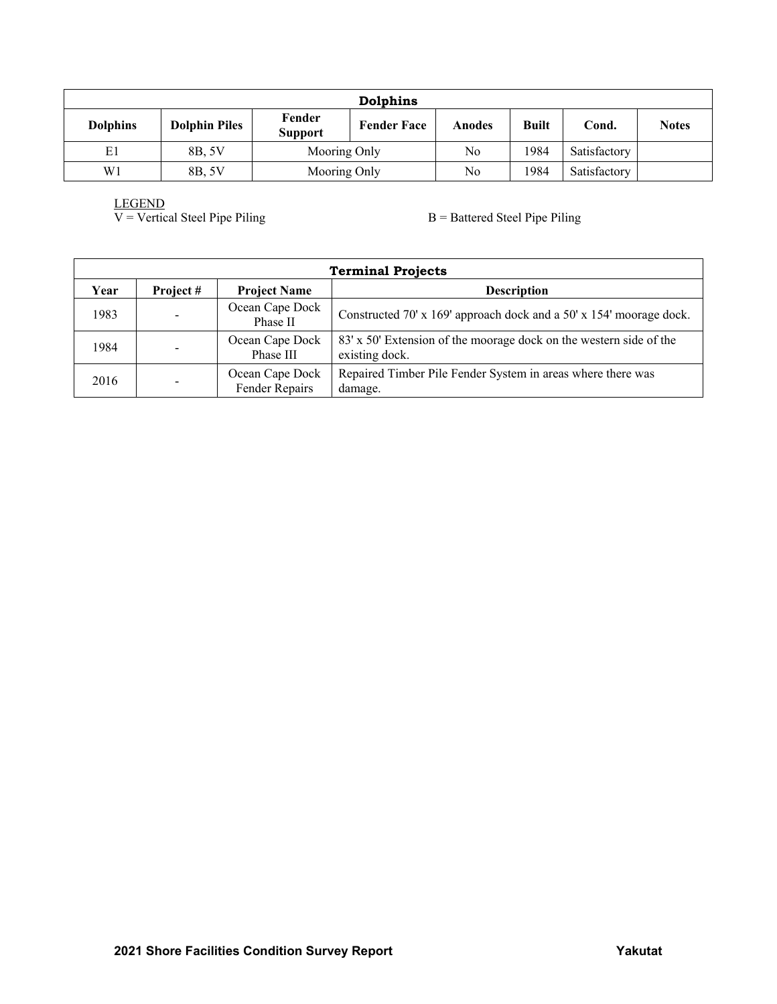| Dolphins        |                      |                          |                    |        |              |              |              |
|-----------------|----------------------|--------------------------|--------------------|--------|--------------|--------------|--------------|
| <b>Dolphins</b> | <b>Dolphin Piles</b> | Fender<br><b>Support</b> | <b>Fender Face</b> | Anodes | <b>Built</b> | Cond.        | <b>Notes</b> |
| E1              | 8B, 5V               | Mooring Only             |                    | No     | 1984         | Satisfactory |              |
| W <sub>1</sub>  | 8B, 5V               | Mooring Only             |                    | No     | 1984         | Satisfactory |              |

LEGEND<br>V = Vertical Steel Pipe Piling

 $B =$  Battered Steel Pipe Piling

|      | <b>Terminal Projects</b> |                                   |                                                                                      |  |  |
|------|--------------------------|-----------------------------------|--------------------------------------------------------------------------------------|--|--|
| Year | Project#                 | <b>Project Name</b>               | <b>Description</b>                                                                   |  |  |
| 1983 | $\blacksquare$           | Ocean Cape Dock<br>Phase II       | Constructed 70' x 169' approach dock and a 50' x 154' moorage dock.                  |  |  |
| 1984 | $\overline{\phantom{a}}$ | Ocean Cape Dock<br>Phase III      | 83' x 50' Extension of the moorage dock on the western side of the<br>existing dock. |  |  |
| 2016 | $\overline{\phantom{a}}$ | Ocean Cape Dock<br>Fender Repairs | Repaired Timber Pile Fender System in areas where there was<br>damage.               |  |  |